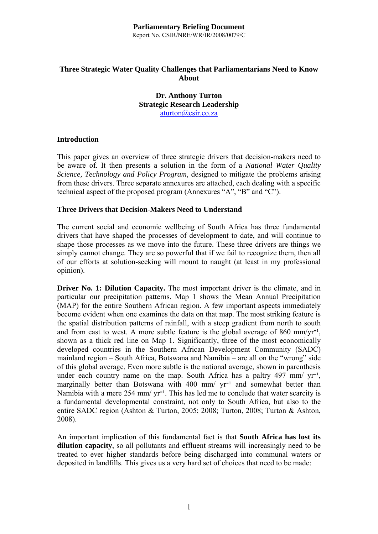#### **Parliamentary Briefing Document**  Report No. CSIR/NRE/WR/IR/2008/0079/C

# **Three Strategic Water Quality Challenges that Parliamentarians Need to Know About**

# **Dr. Anthony Turton Strategic Research Leadership**  aturton@csir.co.za

# **Introduction**

This paper gives an overview of three strategic drivers that decision-makers need to be aware of. It then presents a solution in the form of a *National Water Quality Science, Technology and Policy Program*, designed to mitigate the problems arising from these drivers. Three separate annexures are attached, each dealing with a specific technical aspect of the proposed program (Annexures "A", "B" and "C").

#### **Three Drivers that Decision-Makers Need to Understand**

The current social and economic wellbeing of South Africa has three fundamental drivers that have shaped the processes of development to date, and will continue to shape those processes as we move into the future. These three drivers are things we simply cannot change. They are so powerful that if we fail to recognize them, then all of our efforts at solution-seeking will mount to naught (at least in my professional opinion).

**Driver No. 1: Dilution Capacity.** The most important driver is the climate, and in particular our precipitation patterns. Map 1 shows the Mean Annual Precipitation (MAP) for the entire Southern African region. A few important aspects immediately become evident when one examines the data on that map. The most striking feature is the spatial distribution patterns of rainfall, with a steep gradient from north to south and from east to west. A more subtle feature is the global average of 860 mm/ $\text{yr}^{-1}$ , shown as a thick red line on Map 1. Significantly, three of the most economically developed countries in the Southern African Development Community (SADC) mainland region – South Africa, Botswana and Namibia – are all on the "wrong" side of this global average. Even more subtle is the national average, shown in parenthesis under each country name on the map. South Africa has a paltry 497 mm/  $yr^{-1}$ , marginally better than Botswana with  $400 \, \text{mm}$  yr<sup>-1</sup> and somewhat better than Namibia with a mere 254 mm/  $vr^{-1}$ . This has led me to conclude that water scarcity is a fundamental developmental constraint, not only to South Africa, but also to the entire SADC region (Ashton & Turton, 2005; 2008; Turton, 2008; Turton & Ashton, 2008).

An important implication of this fundamental fact is that **South Africa has lost its dilution capacity**, so all pollutants and effluent streams will increasingly need to be treated to ever higher standards before being discharged into communal waters or deposited in landfills. This gives us a very hard set of choices that need to be made: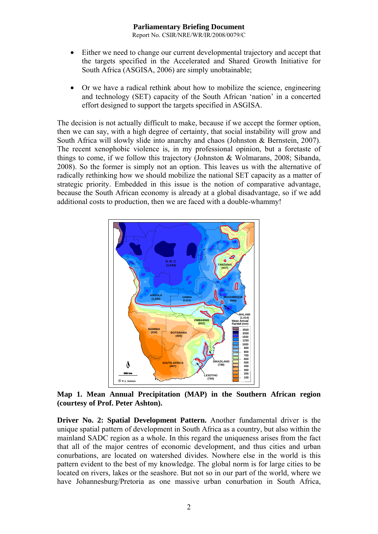Report No. CSIR/NRE/WR/IR/2008/0079/C

- Either we need to change our current developmental trajectory and accept that the targets specified in the Accelerated and Shared Growth Initiative for South Africa (ASGISA, 2006) are simply unobtainable;
- Or we have a radical rethink about how to mobilize the science, engineering and technology (SET) capacity of the South African 'nation' in a concerted effort designed to support the targets specified in ASGISA.

The decision is not actually difficult to make, because if we accept the former option, then we can say, with a high degree of certainty, that social instability will grow and South Africa will slowly slide into anarchy and chaos (Johnston & Bernstein, 2007). The recent xenophobic violence is, in my professional opinion, but a foretaste of things to come, if we follow this trajectory (Johnston & Wolmarans, 2008; Sibanda, 2008). So the former is simply not an option. This leaves us with the alternative of radically rethinking how we should mobilize the national SET capacity as a matter of strategic priority. Embedded in this issue is the notion of comparative advantage, because the South African economy is already at a global disadvantage, so if we add additional costs to production, then we are faced with a double-whammy!



**Map 1. Mean Annual Precipitation (MAP) in the Southern African region (courtesy of Prof. Peter Ashton).** 

**Driver No. 2: Spatial Development Pattern.** Another fundamental driver is the unique spatial pattern of development in South Africa as a country, but also within the mainland SADC region as a whole. In this regard the uniqueness arises from the fact that all of the major centres of economic development, and thus cities and urban conurbations, are located on watershed divides. Nowhere else in the world is this pattern evident to the best of my knowledge. The global norm is for large cities to be located on rivers, lakes or the seashore. But not so in our part of the world, where we have Johannesburg/Pretoria as one massive urban conurbation in South Africa,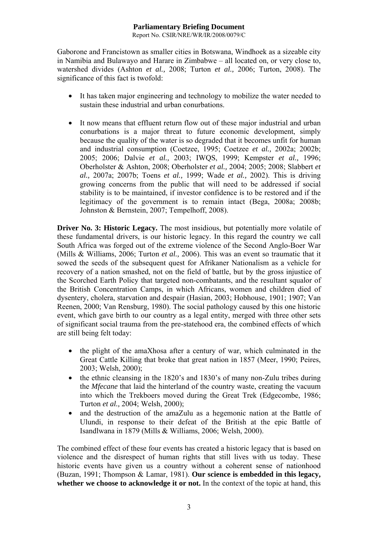Report No. CSIR/NRE/WR/IR/2008/0079/C

Gaborone and Francistown as smaller cities in Botswana, Windhoek as a sizeable city in Namibia and Bulawayo and Harare in Zimbabwe – all located on, or very close to, watershed divides (Ashton *et al.,* 2008; Turton *et al.,* 2006; Turton, 2008). The significance of this fact is twofold:

- It has taken major engineering and technology to mobilize the water needed to sustain these industrial and urban conurbations.
- It now means that effluent return flow out of these major industrial and urban conurbations is a major threat to future economic development, simply because the quality of the water is so degraded that it becomes unfit for human and industrial consumption (Coetzee, 1995; Coetzee *et al.,* 2002a; 2002b; 2005; 2006; Dalvie *et al.,* 2003; IWQS, 1999; Kempster *et al.,* 1996; Oberholster & Ashton, 2008; Oberholster *et al.,* 2004; 2005; 2008; Slabbert *et al.,* 2007a; 2007b; Toens *et al.,* 1999; Wade *et al.,* 2002). This is driving growing concerns from the public that will need to be addressed if social stability is to be maintained, if investor confidence is to be restored and if the legitimacy of the government is to remain intact (Bega, 2008a; 2008b; Johnston & Bernstein, 2007; Tempelhoff, 2008).

**Driver No. 3: Historic Legacy.** The most insidious, but potentially more volatile of these fundamental drivers, is our historic legacy. In this regard the country we call South Africa was forged out of the extreme violence of the Second Anglo-Boer War (Mills & Williams, 2006; Turton *et al.,* 2006). This was an event so traumatic that it sowed the seeds of the subsequent quest for Afrikaner Nationalism as a vehicle for recovery of a nation smashed, not on the field of battle, but by the gross injustice of the Scorched Earth Policy that targeted non-combatants, and the resultant squalor of the British Concentration Camps, in which Africans, women and children died of dysentery, cholera, starvation and despair (Hasian, 2003; Hobhouse, 1901; 1907; Van Reenen, 2000; Van Rensburg, 1980). The social pathology caused by this one historic event, which gave birth to our country as a legal entity, merged with three other sets of significant social trauma from the pre-statehood era, the combined effects of which are still being felt today:

- the plight of the amaXhosa after a century of war, which culminated in the Great Cattle Killing that broke that great nation in 1857 (Meer, 1990; Peires, 2003; Welsh, 2000);
- the ethnic cleansing in the 1820's and 1830's of many non-Zulu tribes during the *Mfecane* that laid the hinterland of the country waste, creating the vacuum into which the Trekboers moved during the Great Trek (Edgecombe, 1986; Turton *et al.,* 2004; Welsh, 2000);
- and the destruction of the amaZulu as a hegemonic nation at the Battle of Ulundi, in response to their defeat of the British at the epic Battle of Isandlwana in 1879 (Mills & Williams, 2006; Welsh, 2000).

The combined effect of these four events has created a historic legacy that is based on violence and the disrespect of human rights that still lives with us today. These historic events have given us a country without a coherent sense of nationhood (Buzan, 1991; Thompson & Lamar, 1981). **Our science is embedded in this legacy, whether we choose to acknowledge it or not.** In the context of the topic at hand, this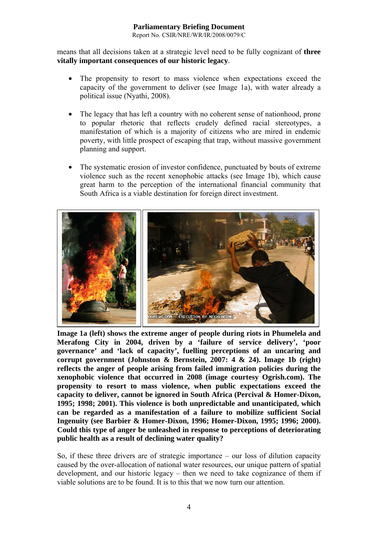Report No. CSIR/NRE/WR/IR/2008/0079/C

means that all decisions taken at a strategic level need to be fully cognizant of **three vitally important consequences of our historic legacy**.

- The propensity to resort to mass violence when expectations exceed the capacity of the government to deliver (see Image 1a), with water already a political issue (Nyathi, 2008).
- The legacy that has left a country with no coherent sense of nationhood, prone to popular rhetoric that reflects crudely defined racial stereotypes, a manifestation of which is a majority of citizens who are mired in endemic poverty, with little prospect of escaping that trap, without massive government planning and support.
- The systematic erosion of investor confidence, punctuated by bouts of extreme violence such as the recent xenophobic attacks (see Image 1b), which cause great harm to the perception of the international financial community that South Africa is a viable destination for foreign direct investment.



**Image 1a (left) shows the extreme anger of people during riots in Phumelela and Merafong City in 2004, driven by a 'failure of service delivery', 'poor governance' and 'lack of capacity', fuelling perceptions of an uncaring and corrupt government (Johnston & Bernstein, 2007: 4 & 24). Image 1b (right) reflects the anger of people arising from failed immigration policies during the xenophobic violence that occurred in 2008 (image courtesy Ogrish.com). The propensity to resort to mass violence, when public expectations exceed the capacity to deliver, cannot be ignored in South Africa (Percival & Homer-Dixon, 1995; 1998; 2001). This violence is both unpredictable and unanticipated, which can be regarded as a manifestation of a failure to mobilize sufficient Social Ingenuity (see Barbier & Homer-Dixon, 1996; Homer-Dixon, 1995; 1996; 2000). Could this type of anger be unleashed in response to perceptions of deteriorating public health as a result of declining water quality?** 

So, if these three drivers are of strategic importance – our loss of dilution capacity caused by the over-allocation of national water resources, our unique pattern of spatial development, and our historic legacy – then we need to take cognizance of them if viable solutions are to be found. It is to this that we now turn our attention.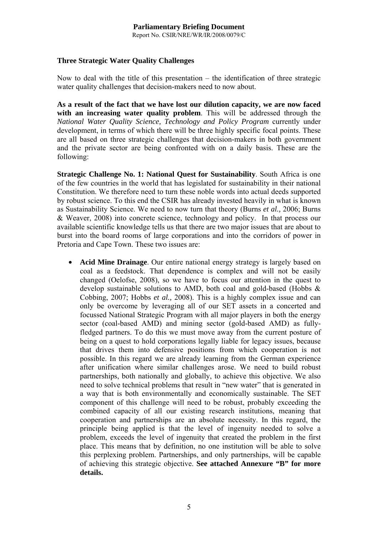# **Three Strategic Water Quality Challenges**

Now to deal with the title of this presentation – the identification of three strategic water quality challenges that decision-makers need to now about.

**As a result of the fact that we have lost our dilution capacity, we are now faced with an increasing water quality problem**. This will be addressed through the *National Water Quality Science, Technology and Policy Program* currently under development, in terms of which there will be three highly specific focal points. These are all based on three strategic challenges that decision-makers in both government and the private sector are being confronted with on a daily basis. These are the following:

**Strategic Challenge No. 1: National Quest for Sustainability**. South Africa is one of the few countries in the world that has legislated for sustainability in their national Constitution. We therefore need to turn these noble words into actual deeds supported by robust science. To this end the CSIR has already invested heavily in what is known as Sustainability Science. We need to now turn that theory (Burns *et al.,* 2006; Burns & Weaver, 2008) into concrete science, technology and policy. In that process our available scientific knowledge tells us that there are two major issues that are about to burst into the board rooms of large corporations and into the corridors of power in Pretoria and Cape Town. These two issues are:

• **Acid Mine Drainage**. Our entire national energy strategy is largely based on coal as a feedstock. That dependence is complex and will not be easily changed (Oelofse, 2008), so we have to focus our attention in the quest to develop sustainable solutions to AMD, both coal and gold-based (Hobbs & Cobbing, 2007; Hobbs *et al.,* 2008). This is a highly complex issue and can only be overcome by leveraging all of our SET assets in a concerted and focussed National Strategic Program with all major players in both the energy sector (coal-based AMD) and mining sector (gold-based AMD) as fullyfledged partners. To do this we must move away from the current posture of being on a quest to hold corporations legally liable for legacy issues, because that drives them into defensive positions from which cooperation is not possible. In this regard we are already learning from the German experience after unification where similar challenges arose. We need to build robust partnerships, both nationally and globally, to achieve this objective. We also need to solve technical problems that result in "new water" that is generated in a way that is both environmentally and economically sustainable. The SET component of this challenge will need to be robust, probably exceeding the combined capacity of all our existing research institutions, meaning that cooperation and partnerships are an absolute necessity. In this regard, the principle being applied is that the level of ingenuity needed to solve a problem, exceeds the level of ingenuity that created the problem in the first place. This means that by definition, no one institution will be able to solve this perplexing problem. Partnerships, and only partnerships, will be capable of achieving this strategic objective. **See attached Annexure "B" for more details.**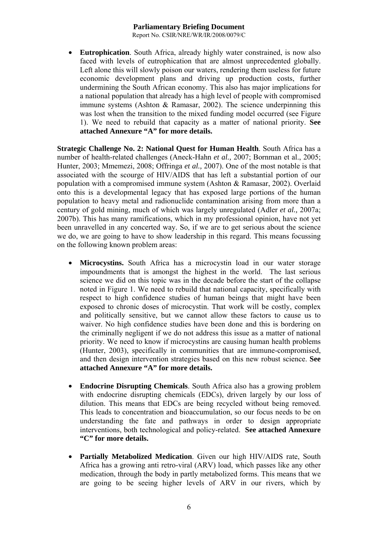Report No. CSIR/NRE/WR/IR/2008/0079/C

**Eutrophication**. South Africa, already highly water constrained, is now also faced with levels of eutrophication that are almost unprecedented globally. Left alone this will slowly poison our waters, rendering them useless for future economic development plans and driving up production costs, further undermining the South African economy. This also has major implications for a national population that already has a high level of people with compromised immune systems (Ashton & Ramasar, 2002). The science underpinning this was lost when the transition to the mixed funding model occurred (see Figure 1). We need to rebuild that capacity as a matter of national priority. **See attached Annexure "A" for more details.** 

**Strategic Challenge No. 2: National Quest for Human Health**. South Africa has a number of health-related challenges (Aneck-Hahn *et al.,* 2007; Bornman et al., 2005; Hunter, 2003; Mmemezi, 2008; Offringa *et al.,* 2007). One of the most notable is that associated with the scourge of HIV/AIDS that has left a substantial portion of our population with a compromised immune system (Ashton & Ramasar, 2002). Overlaid onto this is a developmental legacy that has exposed large portions of the human population to heavy metal and radionuclide contamination arising from more than a century of gold mining, much of which was largely unregulated (Adler *et al.,* 2007a; 2007b). This has many ramifications, which in my professional opinion, have not yet been unravelled in any concerted way. So, if we are to get serious about the science we do, we are going to have to show leadership in this regard. This means focussing on the following known problem areas:

- **Microcystins.** South Africa has a microcystin load in our water storage impoundments that is amongst the highest in the world. The last serious science we did on this topic was in the decade before the start of the collapse noted in Figure 1. We need to rebuild that national capacity, specifically with respect to high confidence studies of human beings that might have been exposed to chronic doses of microcystin. That work will be costly, complex and politically sensitive, but we cannot allow these factors to cause us to waiver. No high confidence studies have been done and this is bordering on the criminally negligent if we do not address this issue as a matter of national priority. We need to know if microcystins are causing human health problems (Hunter, 2003), specifically in communities that are immune-compromised, and then design intervention strategies based on this new robust science. **See attached Annexure "A" for more details.**
- **Endocrine Disrupting Chemicals**. South Africa also has a growing problem with endocrine disrupting chemicals (EDCs), driven largely by our loss of dilution. This means that EDCs are being recycled without being removed. This leads to concentration and bioaccumulation, so our focus needs to be on understanding the fate and pathways in order to design appropriate interventions, both technological and policy-related. **See attached Annexure "C" for more details.**
- **Partially Metabolized Medication**. Given our high HIV/AIDS rate, South Africa has a growing anti retro-viral (ARV) load, which passes like any other medication, through the body in partly metabolized forms. This means that we are going to be seeing higher levels of ARV in our rivers, which by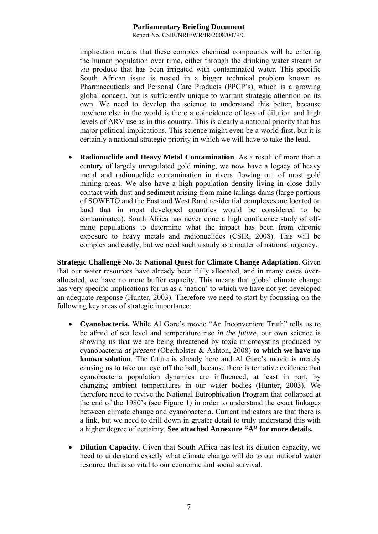Report No. CSIR/NRE/WR/IR/2008/0079/C

implication means that these complex chemical compounds will be entering the human population over time, either through the drinking water stream or *via* produce that has been irrigated with contaminated water. This specific South African issue is nested in a bigger technical problem known as Pharmaceuticals and Personal Care Products (PPCP's), which is a growing global concern, but is sufficiently unique to warrant strategic attention on its own. We need to develop the science to understand this better, because nowhere else in the world is there a coincidence of loss of dilution and high levels of ARV use as in this country. This is clearly a national priority that has major political implications. This science might even be a world first, but it is certainly a national strategic priority in which we will have to take the lead.

• **Radionuclide and Heavy Metal Contamination**. As a result of more than a century of largely unregulated gold mining, we now have a legacy of heavy metal and radionuclide contamination in rivers flowing out of most gold mining areas. We also have a high population density living in close daily contact with dust and sediment arising from mine tailings dams (large portions of SOWETO and the East and West Rand residential complexes are located on land that in most developed countries would be considered to be contaminated). South Africa has never done a high confidence study of offmine populations to determine what the impact has been from chronic exposure to heavy metals and radionuclides (CSIR, 2008). This will be complex and costly, but we need such a study as a matter of national urgency.

**Strategic Challenge No. 3: National Quest for Climate Change Adaptation**. Given that our water resources have already been fully allocated, and in many cases overallocated, we have no more buffer capacity. This means that global climate change has very specific implications for us as a 'nation' to which we have not yet developed an adequate response (Hunter, 2003). Therefore we need to start by focussing on the following key areas of strategic importance:

- **Cyanobacteria.** While Al Gore's movie "An Inconvenient Truth" tells us to be afraid of sea level and temperature rise *in the future*, our own science is showing us that we are being threatened by toxic microcystins produced by cyanobacteria *at present* (Oberholster & Ashton, 2008) **to which we have no known solution**. The future is already here and Al Gore's movie is merely causing us to take our eye off the ball, because there is tentative evidence that cyanobacteria population dynamics are influenced, at least in part, by changing ambient temperatures in our water bodies (Hunter, 2003). We therefore need to revive the National Eutrophication Program that collapsed at the end of the 1980's (see Figure 1) in order to understand the exact linkages between climate change and cyanobacteria. Current indicators are that there is a link, but we need to drill down in greater detail to truly understand this with a higher degree of certainty. **See attached Annexure "A" for more details.**
- **Dilution Capacity.** Given that South Africa has lost its dilution capacity, we need to understand exactly what climate change will do to our national water resource that is so vital to our economic and social survival.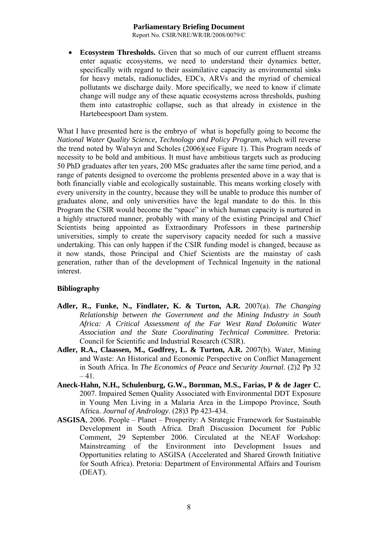Report No. CSIR/NRE/WR/IR/2008/0079/C

**Ecosystem Thresholds.** Given that so much of our current effluent streams enter aquatic ecosystems, we need to understand their dynamics better, specifically with regard to their assimilative capacity as environmental sinks for heavy metals, radionuclides, EDCs, ARVs and the myriad of chemical pollutants we discharge daily. More specifically, we need to know if climate change will nudge any of these aquatic ecosystems across thresholds, pushing them into catastrophic collapse, such as that already in existence in the Hartebeespoort Dam system.

What I have presented here is the embryo of what is hopefully going to become the *National Water Quality Science, Technology and Policy Program*, which will reverse the trend noted by Walwyn and Scholes (2006)(see Figure 1). This Program needs of necessity to be bold and ambitious. It must have ambitious targets such as producing 50 PhD graduates after ten years, 200 MSc graduates after the same time period, and a range of patents designed to overcome the problems presented above in a way that is both financially viable and ecologically sustainable. This means working closely with every university in the country, because they will be unable to produce this number of graduates alone, and only universities have the legal mandate to do this. In this Program the CSIR would become the "space" in which human capacity is nurtured in a highly structured manner, probably with many of the existing Principal and Chief Scientists being appointed as Extraordinary Professors in these partnership universities, simply to create the supervisory capacity needed for such a massive undertaking. This can only happen if the CSIR funding model is changed, because as it now stands, those Principal and Chief Scientists are the mainstay of cash generation, rather than of the development of Technical Ingenuity in the national interest.

# **Bibliography**

- **Adler, R., Funke, N., Findlater, K. & Turton, A.R.** 2007(a). *The Changing Relationship between the Government and the Mining Industry in South Africa: A Critical Assessment of the Far West Rand Dolomitic Water Association and the State Coordinating Technical Committee.* Pretoria: Council for Scientific and Industrial Research (CSIR).
- **Adler, R.A., Claassen, M., Godfrey, L. & Turton, A.R.** 2007(b). Water, Mining and Waste: An Historical and Economic Perspective on Conflict Management in South Africa. In *The Economics of Peace and Security Journal*. (2)2 Pp 32  $-41.$
- **Aneck-Hahn, N.H., Schulenburg, G.W., Bornman, M.S., Farias, P & de Jager C.** 2007. Impaired Semen Quality Associated with Environmental DDT Exposure in Young Men Living in a Malaria Area in the Limpopo Province, South Africa. *Journal of Andrology*. (28)3 Pp 423-434.
- **ASGISA**, 2006. People Planet Prosperity: A Strategic Framework for Sustainable Development in South Africa. Draft Discussion Document for Public Comment, 29 September 2006. Circulated at the NEAF Workshop: Mainstreaming of the Environment into Development Issues and Opportunities relating to ASGISA (Accelerated and Shared Growth Initiative for South Africa). Pretoria: Department of Environmental Affairs and Tourism (DEAT).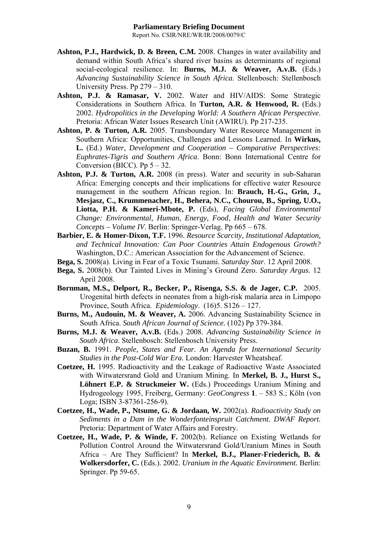- **Ashton, P.J., Hardwick, D. & Breen, C.M.** 2008. Changes in water availability and demand within South Africa's shared river basins as determinants of regional social-ecological resilience. In: **Burns, M.J. & Weaver, A.v.B.** (Eds.) *Advancing Sustainability Science in South Africa*. Stellenbosch: Stellenbosch University Press. Pp 279 – 310.
- **Ashton, P.J. & Ramasar, V.** 2002. Water and HIV/AIDS: Some Strategic Considerations in Southern Africa. In **Turton, A.R. & Henwood, R.** (Eds.) 2002. *Hydropolitics in the Developing World: A Southern African Perspective*. Pretoria: African Water Issues Research Unit (AWIRU). Pp 217-235.
- **Ashton, P. & Turton, A.R.** 2005. Transboundary Water Resource Management in Southern Africa: Opportunities, Challenges and Lessons Learned. In **Wirkus, L.** (Ed.) *Water, Development and Cooperation – Comparative Perspectives: Euphrates-Tigris and Southern Africa*. Bonn: Bonn International Centre for Conversion (BICC). Pp  $5 - 32$ .
- **Ashton, P.J. & Turton, A.R.** 2008 (in press). Water and security in sub-Saharan Africa: Emerging concepts and their implications for effective water Resource management in the southern African region. In: **Brauch, H.-G., Grin, J., Mesjasz, C., Krummenacher, H., Behera, N.C., Chourou, B., Spring, U.O., Liotta, P.H. & Kameri-Mbote, P.** (Eds), *Facing Global Environmental Change: Environmental, Human, Energy, Food, Health and Water Security Concepts – Volume IV*. Berlin: Springer-Verlag. Pp 665 – 678.
- **Barbier, E. & Homer-Dixon, T.F.** 1996. *Resource Scarcity, Institutional Adaptation, and Technical Innovation: Can Poor Countries Attain Endogenous Growth?* Washington, D.C.: American Association for the Advancement of Science.
- **Bega, S.** 2008(a). Living in Fear of a Toxic Tsunami. *Saturday Star*. 12 April 2008.
- **Bega, S.** 2008(b). Our Tainted Lives in Mining's Ground Zero. *Saturday Argus*. 12 April 2008.
- **Bornman, M.S., Delport, R., Becker, P., Risenga, S.S. & de Jager, C.P.** 2005. Urogenital birth defects in neonates from a high-risk malaria area in Limpopo Province, South Africa. *Epidemiology*. (16)5. S126 – 127.
- **Burns, M., Audouin, M. & Weaver, A.** 2006. Advancing Sustainability Science in South Africa. *South African Journal of Science.* (102) Pp 379-384.
- **Burns, M.J. & Weaver, A.v.B.** (Eds.) 2008. *Advancing Sustainability Science in South Africa*. Stellenbosch: Stellenbosch University Press.
- **Buzan, B.** 1991. *People, States and Fear. An Agenda for International Security Studies in the Post-Cold War Era.* London: Harvester Wheatsheaf.
- **Coetzee, H.** 1995. Radioactivity and the Leakage of Radioactive Waste Associated with Witwatersrand Gold and Uranium Mining. In **Merkel, B. J., Hurst S.,**  Löhnert E.P. & Struckmeier W. (Eds.) Proceedings Uranium Mining and Hydrogeology 1995, Freiberg, Germany: *GeoCongress* **1**. – 583 S.; Köln (von Loga; ISBN 3-87361-256-9).
- **Coetzee, H., Wade, P., Ntsume, G. & Jordaan, W.** 2002(a). *Radioactivity Study on Sediments in a Dam in the Wonderfonteinspruit Catchment. DWAF Report.* Pretoria: Department of Water Affairs and Forestry.
- **Coetzee, H., Wade, P. & Winde, F.** 2002(b). Reliance on Existing Wetlands for Pollution Control Around the Witwatersrand Gold/Uranium Mines in South Africa – Are They Sufficient? In **Merkel, B.J., Planer-Friederich, B. & Wolkersdorfer, C.** (Eds.). 2002. *Uranium in the Aquatic Environment.* Berlin: Springer. Pp 59-65.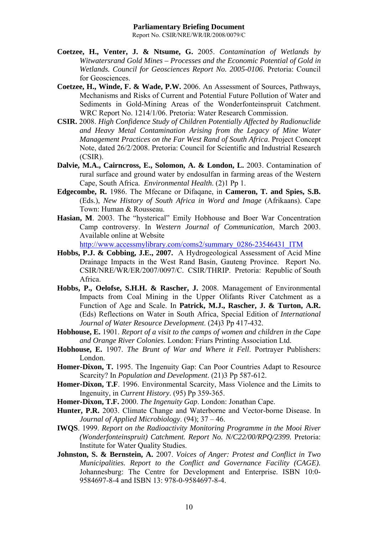- **Coetzee, H., Venter, J. & Ntsume, G.** 2005. *Contamination of Wetlands by Witwatersrand Gold Mines – Processes and the Economic Potential of Gold in Wetlands. Council for Geosciences Report No. 2005-0106*. Pretoria: Council for Geosciences.
- **Coetzee, H., Winde, F. & Wade, P.W.** 2006. An Assessment of Sources, Pathways, Mechanisms and Risks of Current and Potential Future Pollution of Water and Sediments in Gold-Mining Areas of the Wonderfonteinspruit Catchment. WRC Report No. 1214/1/06. Pretoria: Water Research Commission.
- **CSIR.** 2008. *High Confidence Study of Children Potentially Affected by Radionuclide and Heavy Metal Contamination Arising from the Legacy of Mine Water Management Practices on the Far West Rand of South Africa*. Project Concept Note, dated 26/2/2008. Pretoria: Council for Scientific and Industrial Research (CSIR).
- **Dalvie, M.A., Cairncross, E., Solomon, A. & London, L.** 2003. Contamination of rural surface and ground water by endosulfan in farming areas of the Western Cape, South Africa. *Environmental Health*. (2)1 Pp 1.
- **Edgecombe, R.** 1986. The Mfecane or Difaqane, in **Cameron, T. and Spies, S.B.** (Eds.), *New History of South Africa in Word and Image* (Afrikaans). Cape Town: Human & Rousseau.
- **Hasian, M**. 2003. The "hysterical" Emily Hobhouse and Boer War Concentration Camp controversy. In *Western Journal of Communication*, March 2003. Available online at Website

http://www.accessmylibrary.com/coms2/summary\_0286-23546431\_ITM

- **Hobbs, P.J. & Cobbing, J.E., 2007.** A Hydrogeological Assessment of Acid Mine Drainage Impacts in the West Rand Basin, Gauteng Province. Report No. CSIR/NRE/WR/ER/2007/0097/C. CSIR/THRIP. Pretoria: Republic of South Africa.
- **Hobbs, P., Oelofse, S.H.H. & Rascher, J.** 2008. Management of Environmental Impacts from Coal Mining in the Upper Olifants River Catchment as a Function of Age and Scale. In **Patrick, M.J., Rascher, J. & Turton, A.R.** (Eds) Reflections on Water in South Africa, Special Edition of *International Journal of Water Resource Development*. (24)3 Pp 417-432.
- **Hobhouse, E.** 1901. *Report of a visit to the camps of women and children in the Cape and Orange River Colonies*. London: Friars Printing Association Ltd.
- **Hobhouse, E.** 1907. *The Brunt of War and Where it Fell*. Portrayer Publishers: London.
- **Homer-Dixon, T.** 1995. The Ingenuity Gap: Can Poor Countries Adapt to Resource Scarcity? In *Population and Development*. (21)3 Pp 587-612.
- **Homer-Dixon, T.F**. 1996. Environmental Scarcity, Mass Violence and the Limits to Ingenuity, in *Current History*. (95) Pp 359-365.
- **Homer-Dixon, T.F.** 2000. *The Ingenuity Gap*. London: Jonathan Cape.
- **Hunter, P.R.** 2003. Climate Change and Waterborne and Vector-borne Disease. In *Journal of Applied Microbiology*. (94); 37 – 46.
- **IWQS**. 1999. *Report on the Radioactivity Monitoring Programme in the Mooi River (Wonderfonteinspruit) Catchment. Report No. N/C22/00/RPQ/2399.* Pretoria: Institute for Water Quality Studies.
- **Johnston, S. & Bernstein, A.** 2007. *Voices of Anger: Protest and Conflict in Two Municipalities. Report to the Conflict and Governance Facility (CAGE).* Johannesburg: The Centre for Development and Enterprise. ISBN 10:0- 9584697-8-4 and ISBN 13: 978-0-9584697-8-4.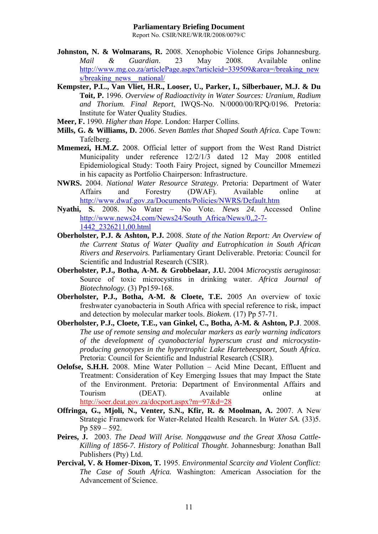- **Johnston, N. & Wolmarans, R.** 2008. Xenophobic Violence Grips Johannesburg. *Mail & Guardian*. 23 May 2008. Available online http://www.mg.co.za/articlePage.aspx?articleid=339509&area=/breaking\_new s/breaking\_news\_national/
- **Kempster, P.L., Van Vliet, H.R., Looser, U., Parker, I., Silberbauer, M.J. & Du Toit, P.** 1996. *Overview of Radioactivity in Water Sources: Uranium, Radium and Thorium. Final Report*, IWQS-No. N/0000/00/RPQ/0196. Pretoria: Institute for Water Quality Studies.
- **Meer, F.** 1990. *Higher than Hope*. London: Harper Collins.
- **Mills, G. & Williams, D.** 2006. *Seven Battles that Shaped South Africa.* Cape Town: Tafelberg.
- **Mmemezi, H.M.Z.** 2008. Official letter of support from the West Rand District Municipality under reference 12/2/1/3 dated 12 May 2008 entitled Epidemiological Study: Tooth Fairy Project, signed by Councillor Mmemezi in his capacity as Portfolio Chairperson: Infrastructure.
- **NWRS.** 2004. *National Water Resource Strategy.* Pretoria: Department of Water Affairs and Forestry (DWAF). Available online at http://www.dwaf.gov.za/Documents/Policies/NWRS/Default.htm
- **Nyathi, S.** 2008. No Water No Vote. *News 24.* Accessed Online http://www.news24.com/News24/South\_Africa/News/0,,2-7- 1442\_2326211,00.html
- **Oberholster, P.J. & Ashton, P.J.** 2008. *State of the Nation Report: An Overview of the Current Status of Water Quality and Eutrophication in South African Rivers and Reservoirs.* Parliamentary Grant Deliverable. Pretoria: Council for Scientific and Industrial Research (CSIR).
- **Oberholster, P.J., Botha, A-M. & Grobbelaar, J.U.** 2004 *Microcystis aeruginosa*: Source of toxic microcystins in drinking water. *Africa Journal of Biotechnology.* (3) Pp159-168.
- **Oberholster, P.J., Botha, A-M. & Cloete, T.E.** 2005 An overview of toxic freshwater cyanobacteria in South Africa with special reference to risk, impact and detection by molecular marker tools. *Biokem.* (17) Pp 57-71.
- **Oberholster, P.J., Cloete, T.E., van Ginkel, C., Botha, A-M. & Ashton, P.J**. 2008. *The use of remote sensing and molecular markers as early warning indicators of the development of cyanobacterial hyperscum crust and microcystinproducing genotypes in the hypertrophic Lake Hartebeespoort, South Africa.* Pretoria: Council for Scientific and Industrial Research (CSIR).
- **Oelofse, S.H.H.** 2008. Mine Water Pollution Acid Mine Decant, Effluent and Treatment: Consideration of Key Emerging Issues that may Impact the State of the Environment. Pretoria: Department of Environmental Affairs and Tourism (DEAT). Available online at http://soer.deat.gov.za/docport.aspx?m=97&d=28
- **Offringa, G., Mjoli, N., Venter, S.N., Kfir, R. & Moolman, A.** 2007. A New Strategic Framework for Water-Related Health Research. In *Water SA*. (33)5. Pp 589 – 592.
- **Peires, J.** 2003. *The Dead Will Arise. Nongqawuse and the Great Xhosa Cattle-Killing of 1856-7. History of Political Thought*. Johannesburg: Jonathan Ball Publishers (Pty) Ltd.
- **Percival, V. & Homer-Dixon, T.** 1995. *Environmental Scarcity and Violent Conflict: The Case of South Africa.* Washington: American Association for the Advancement of Science.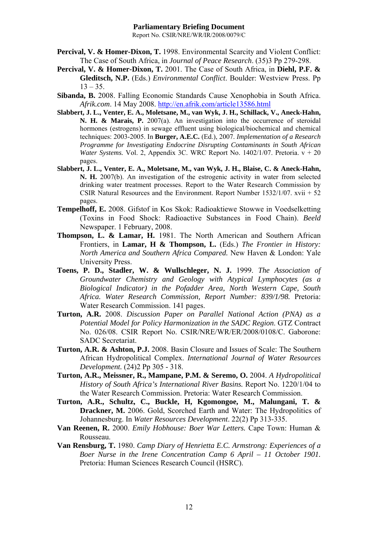- **Percival, V. & Homer-Dixon, T.** 1998. Environmental Scarcity and Violent Conflict: The Case of South Africa, in *Journal of Peace Research*. (35)3 Pp 279-298.
- **Percival, V. & Homer-Dixon, T.** 2001. The Case of South Africa, in **Diehl, P.F. & Gleditsch, N.P.** (Eds.) *Environmental Conflict*. Boulder: Westview Press. Pp  $13 - 35$ .
- **Sibanda, B.** 2008. Falling Economic Standards Cause Xenophobia in South Africa. *Afrik.com*. 14 May 2008. http://en.afrik.com/article13586.html
- **Slabbert, J. L., Venter, E. A., Moletsane, M., van Wyk, J. H., Schillack, V., Aneck-Hahn, N. H. & Marais, P.** 2007(a). An investigation into the occurrence of steroidal hormones (estrogens) in sewage effluent using biological/biochemical and chemical techniques: 2003-2005. In **Burger, A.E.C.** (Ed.), 2007. *Implementation of a Research Programme for Investigating Endocrine Disrupting Contaminants in South African Water Systems.* Vol. 2, Appendix 3C. WRC Report No. 1402/1/07. Pretoria. v + 20 pages.
- **Slabbert, J. L., Venter, E. A., Moletsane, M., van Wyk, J. H., Blaise, C. & Aneck-Hahn, N. H.** 2007(b). An investigation of the estrogenic activity in water from selected drinking water treatment processes. Report to the Water Research Commission by CSIR Natural Resources and the Environment. Report Number 1532/1/07. xvii + 52 pages.
- **Tempelhoff, E.** 2008. Gifstof in Kos Skok: Radioaktiewe Stowwe in Voedselketting (Toxins in Food Shock: Radioactive Substances in Food Chain). *Beeld* Newspaper. 1 February, 2008.
- **Thompson, L. & Lamar, H.** 1981. The North American and Southern African Frontiers, in **Lamar, H & Thompson, L.** (Eds.) *The Frontier in History: North America and Southern Africa Compared.* New Haven & London: Yale University Press.
- **Toens, P. D., Stadler, W. & Wullschleger, N. J.** 1999. *The Association of Groundwater Chemistry and Geology with Atypical Lymphocytes (as a Biological Indicator) in the Pofadder Area, North Western Cape, South Africa. Water Research Commission, Report Number: 839/1/98.* Pretoria: Water Research Commission. 141 pages.
- **Turton, A.R.** 2008. *Discussion Paper on Parallel National Action (PNA) as a Potential Model for Policy Harmonization in the SADC Region*. GTZ Contract No. 026/08. CSIR Report No. CSIR/NRE/WR/ER/2008/0108/C. Gaborone: SADC Secretariat.
- **Turton, A.R. & Ashton, P.J.** 2008. Basin Closure and Issues of Scale: The Southern African Hydropolitical Complex. *International Journal of Water Resources Development.* (24)2 Pp 305 - 318.
- **Turton, A.R., Meissner, R., Mampane, P.M. & Seremo, O.** 2004. *A Hydropolitical History of South Africa's International River Basins.* Report No. 1220/1/04 to the Water Research Commission. Pretoria: Water Research Commission.
- **Turton, A.R., Schultz, C., Buckle, H, Kgomongoe, M., Malungani, T. & Drackner, M.** 2006. Gold, Scorched Earth and Water: The Hydropolitics of Johannesburg. In *Water Resources Development*. 22(2) Pp 313-335.
- **Van Reenen, R.** 2000. *Emily Hobhouse: Boer War Letters.* Cape Town: Human & Rousseau.
- **Van Rensburg, T.** 1980. *Camp Diary of Henrietta E.C. Armstrong: Experiences of a Boer Nurse in the Irene Concentration Camp 6 April – 11 October 1901.* Pretoria: Human Sciences Research Council (HSRC).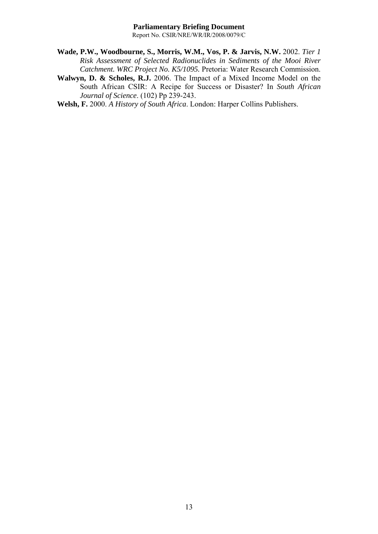- **Wade, P.W., Woodbourne, S., Morris, W.M., Vos, P. & Jarvis, N.W.** 2002. *Tier 1 Risk Assessment of Selected Radionuclides in Sediments of the Mooi River Catchment. WRC Project No. K5/1095.* Pretoria: Water Research Commission.
- **Walwyn, D. & Scholes, R.J.** 2006. The Impact of a Mixed Income Model on the South African CSIR: A Recipe for Success or Disaster? In *South African Journal of Science*. (102) Pp 239-243.
- **Welsh, F.** 2000. *A History of South Africa*. London: Harper Collins Publishers.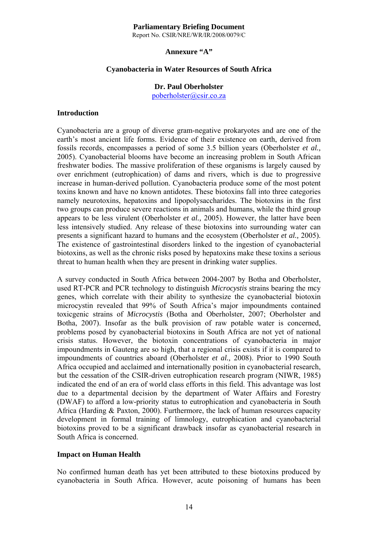Report No. CSIR/NRE/WR/IR/2008/0079/C

#### **Annexure "A"**

#### **Cyanobacteria in Water Resources of South Africa**

# **Dr. Paul Oberholster**

poberholster@csir.co.za

#### **Introduction**

Cyanobacteria are a group of diverse gram-negative prokaryotes and are one of the earth's most ancient life forms. Evidence of their existence on earth, derived from fossils records, encompasses a period of some 3.5 billion years (Oberholster *et al.,* 2005). Cyanobacterial blooms have become an increasing problem in South African freshwater bodies. The massive proliferation of these organisms is largely caused by over enrichment (eutrophication) of dams and rivers, which is due to progressive increase in human-derived pollution. Cyanobacteria produce some of the most potent toxins known and have no known antidotes. These biotoxins fall into three categories namely neurotoxins, hepatoxins and lipopolysaccharides. The biotoxins in the first two groups can produce severe reactions in animals and humans, while the third group appears to be less virulent (Oberholster *et al.,* 2005). However, the latter have been less intensively studied. Any release of these biotoxins into surrounding water can presents a significant hazard to humans and the ecosystem (Oberholster *et al.,* 2005). The existence of gastrointestinal disorders linked to the ingestion of cyanobacterial biotoxins, as well as the chronic risks posed by hepatoxins make these toxins a serious threat to human health when they are present in drinking water supplies.

A survey conducted in South Africa between 2004-2007 by Botha and Oberholster, used RT-PCR and PCR technology to distinguish *Microcystis* strains bearing the mcy genes, which correlate with their ability to synthesize the cyanobacterial biotoxin microcystin revealed that 99% of South Africa's major impoundments contained toxicgenic strains of *Microcystis* (Botha and Oberholster, 2007; Oberholster and Botha, 2007). Insofar as the bulk provision of raw potable water is concerned, problems posed by cyanobacterial biotoxins in South Africa are not yet of national crisis status. However, the biotoxin concentrations of cyanobacteria in major impoundments in Gauteng are so high, that a regional crisis exists if it is compared to impoundments of countries aboard (Oberholster *et al.,* 2008). Prior to 1990 South Africa occupied and acclaimed and internationally position in cyanobacterial research, but the cessation of the CSIR-driven eutrophication research program (NIWR, 1985) indicated the end of an era of world class efforts in this field. This advantage was lost due to a departmental decision by the department of Water Affairs and Forestry (DWAF) to afford a low-priority status to eutrophication and cyanobacteria in South Africa (Harding & Paxton, 2000). Furthermore, the lack of human resources capacity development in formal training of limnology, eutrophication and cyanobacterial biotoxins proved to be a significant drawback insofar as cyanobacterial research in South Africa is concerned.

#### **Impact on Human Health**

No confirmed human death has yet been attributed to these biotoxins produced by cyanobacteria in South Africa. However, acute poisoning of humans has been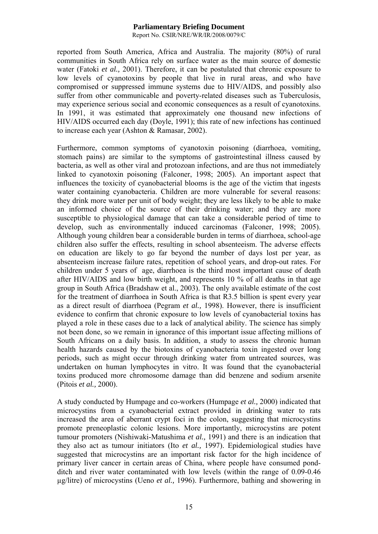Report No. CSIR/NRE/WR/IR/2008/0079/C

reported from South America, Africa and Australia. The majority (80%) of rural communities in South Africa rely on surface water as the main source of domestic water (Fatoki *et al.,* 2001). Therefore, it can be postulated that chronic exposure to low levels of cyanotoxins by people that live in rural areas, and who have compromised or suppressed immune systems due to HIV/AIDS, and possibly also suffer from other communicable and poverty-related diseases such as Tuberculosis, may experience serious social and economic consequences as a result of cyanotoxins. In 1991, it was estimated that approximately one thousand new infections of HIV/AIDS occurred each day (Doyle, 1991); this rate of new infections has continued to increase each year (Ashton & Ramasar, 2002).

Furthermore, common symptoms of cyanotoxin poisoning (diarrhoea, vomiting, stomach pains) are similar to the symptoms of gastrointestinal illness caused by bacteria, as well as other viral and protozoan infections, and are thus not immediately linked to cyanotoxin poisoning (Falconer, 1998; 2005). An important aspect that influences the toxicity of cyanobacterial blooms is the age of the victim that ingests water containing cyanobacteria. Children are more vulnerable for several reasons: they drink more water per unit of body weight; they are less likely to be able to make an informed choice of the source of their drinking water; and they are more susceptible to physiological damage that can take a considerable period of time to develop, such as environmentally induced carcinomas (Falconer, 1998; 2005). Although young children bear a considerable burden in terms of diarrhoea, school-age children also suffer the effects, resulting in school absenteeism. The adverse effects on education are likely to go far beyond the number of days lost per year, as absenteeism increase failure rates, repetition of school years, and drop-out rates. For children under 5 years of age, diarrhoea is the third most important cause of death after HIV/AIDS and low birth weight, and represents 10 % of all deaths in that age group in South Africa (Bradshaw et al., 2003). The only available estimate of the cost for the treatment of diarrhoea in South Africa is that R3.5 billion is spent every year as a direct result of diarrhoea (Pegram *et al.,* 1998). However, there is insufficient evidence to confirm that chronic exposure to low levels of cyanobacterial toxins has played a role in these cases due to a lack of analytical ability. The science has simply not been done, so we remain in ignorance of this important issue affecting millions of South Africans on a daily basis. In addition, a study to assess the chronic human health hazards caused by the biotoxins of cyanobacteria toxin ingested over long periods, such as might occur through drinking water from untreated sources, was undertaken on human lymphocytes in vitro. It was found that the cyanobacterial toxins produced more chromosome damage than did benzene and sodium arsenite (Pitois *et al.,* 2000).

A study conducted by Humpage and co-workers (Humpage *et al.,* 2000) indicated that microcystins from a cyanobacterial extract provided in drinking water to rats increased the area of aberrant crypt foci in the colon, suggesting that microcystins promote preneoplastic colonic lesions. More importantly, microcystins are potent tumour promoters (Nishiwaki-Matushima *et al.,* 1991) and there is an indication that they also act as tumour initiators (Ito *et al.,* 1997). Epidemiological studies have suggested that microcystins are an important risk factor for the high incidence of primary liver cancer in certain areas of China, where people have consumed pondditch and river water contaminated with low levels (within the range of 0.09-0.46 µg/litre) of microcystins (Ueno *et al.,* 1996). Furthermore, bathing and showering in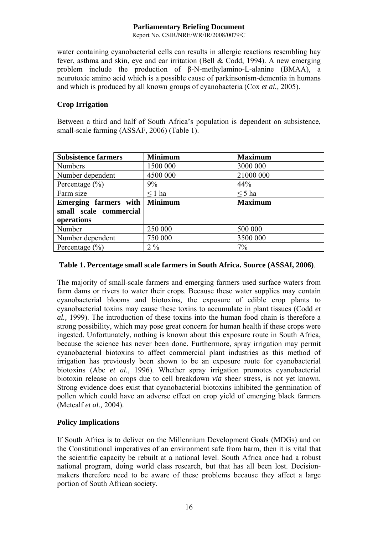Report No. CSIR/NRE/WR/IR/2008/0079/C

water containing cyanobacterial cells can results in allergic reactions resembling hay fever, asthma and skin, eye and ear irritation (Bell & Codd, 1994). A new emerging problem include the production of β-N-methylamino-L-alanine (BMAA), a neurotoxic amino acid which is a possible cause of parkinsonism-dementia in humans and which is produced by all known groups of cyanobacteria (Cox *et al.,* 2005).

# **Crop Irrigation**

Between a third and half of South Africa's population is dependent on subsistence, small-scale farming (ASSAF, 2006) (Table 1).

| <b>Subsistence farmers</b> | <b>Minimum</b> | <b>Maximum</b> |
|----------------------------|----------------|----------------|
| <b>Numbers</b>             | 1500 000       | 3000 000       |
| Number dependent           | 4500 000       | 21000 000      |
| Percentage $(\% )$         | 9%             | 44%            |
| Farm size                  | $\leq 1$ ha    | $\leq$ 5 ha    |
| Emerging farmers with      | <b>Minimum</b> | <b>Maximum</b> |
| small scale commercial     |                |                |
| operations                 |                |                |
| Number                     | 250 000        | 500 000        |
| Number dependent           | 750 000        | 3500 000       |
| Percentage $(\% )$         | $2\%$          | 7%             |

# **Table 1. Percentage small scale farmers in South Africa. Source (ASSAf, 2006)**.

The majority of small-scale farmers and emerging farmers used surface waters from farm dams or rivers to water their crops. Because these water supplies may contain cyanobacterial blooms and biotoxins, the exposure of edible crop plants to cyanobacterial toxins may cause these toxins to accumulate in plant tissues (Codd *et al.,* 1999). The introduction of these toxins into the human food chain is therefore a strong possibility, which may pose great concern for human health if these crops were ingested. Unfortunately, nothing is known about this exposure route in South Africa, because the science has never been done. Furthermore, spray irrigation may permit cyanobacterial biotoxins to affect commercial plant industries as this method of irrigation has previously been shown to be an exposure route for cyanobacterial biotoxins (Abe *et al.,* 1996). Whether spray irrigation promotes cyanobacterial biotoxin release on crops due to cell breakdown *via* sheer stress, is not yet known. Strong evidence does exist that cyanobacterial biotoxins inhibited the germination of pollen which could have an adverse effect on crop yield of emerging black farmers (Metcalf *et al.,* 2004).

# **Policy Implications**

If South Africa is to deliver on the Millennium Development Goals (MDGs) and on the Constitutional imperatives of an environment safe from harm, then it is vital that the scientific capacity be rebuilt at a national level. South Africa once had a robust national program, doing world class research, but that has all been lost. Decisionmakers therefore need to be aware of these problems because they affect a large portion of South African society.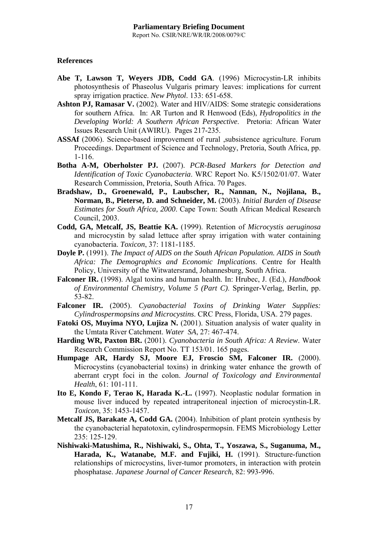# **References**

- **Abe T, Lawson T, Weyers JDB, Codd GA**. (1996) Microcystin-LR inhibits photosynthesis of Phaseolus Vulgaris primary leaves: implications for current spray irrigation practice. *New Phytol*. 133: 651-658.
- **Ashton PJ, Ramasar V.** (2002). Water and HIV/AIDS: Some strategic considerations for southern Africa. In: AR Turton and R Henwood (Eds), *Hydropolitics in the Developing World: A Southern African Perspective*. Pretoria: African Water Issues Research Unit (AWIRU). Pages 217-235.
- **ASSAf** (2006). Science-based improvement of rural ,subsistence agriculture. Forum Proceedings. Department of Science and Technology, Pretoria, South Africa, pp. 1-116.
- **Botha A-M, Oberholster PJ.** (2007). *PCR-Based Markers for Detection and Identification of Toxic Cyanobacteria*. WRC Report No. K5/1502/01/07. Water Research Commission, Pretoria, South Africa. 70 Pages.
- **Bradshaw, D., Groenewald, P., Laubscher, R., Nannan, N., Nojilana, B., Norman, B., Pieterse, D. and Schneider, M.** (2003). *Initial Burden of Disease Estimates for South Africa, 2000*. Cape Town: South African Medical Research Council, 2003.
- **Codd, GA, Metcalf, JS, Beattie KA.** (1999). Retention of *Microcystis aeruginosa* and microcystin by salad lettuce after spray irrigation with water containing cyanobacteria. *Toxicon*, 37: 1181-1185.
- **Doyle P.** (1991). *The Impact of AIDS on the South African Population. AIDS in South Africa: The Demographics and Economic Implications*. Centre for Health Policy, University of the Witwatersrand, Johannesburg, South Africa.
- **Falconer IR.** (1998). Algal toxins and human health. In: Hrubec, J. (Ed.), *Handbook of Environmental Chemistry, Volume 5 (Part C)*. Springer-Verlag, Berlin, pp. 53-82.
- **Falconer IR.** (2005). *Cyanobacterial Toxins of Drinking Water Supplies: Cylindrospermopsins and Microcystins*. CRC Press, Florida, USA. 279 pages.
- **Fatoki OS, Muyima NYO, Lujiza N.** (2001). Situation analysis of water quality in the Umtata River Catchment. *Water SA*, 27: 467-474.
- **Harding WR, Paxton BR.** (2001). *Cyanobacteria in South Africa: A Review*. Water Research Commission Report No. TT 153/01. 165 pages.
- **Humpage AR, Hardy SJ, Moore EJ, Froscio SM, Falconer IR.** (2000). Microcystins (cyanobacterial toxins) in drinking water enhance the growth of aberrant crypt foci in the colon. *Journal of Toxicology and Environmental Health*, 61: 101-111.
- **Ito E, Kondo F, Terao K, Harada K.-L.** (1997). Neoplastic nodular formation in mouse liver induced by repeated intraperitoneal injection of microcystin-LR. *Toxicon*, 35: 1453-1457.
- **Metcalf JS, Barakate A, Codd GA.** (2004). Inhibition of plant protein synthesis by the cyanobacterial hepatotoxin, cylindrospermopsin. FEMS Microbiology Letter 235: 125-129.
- **Nishiwaki-Matushima, R., Nishiwaki, S., Ohta, T., Yoszawa, S., Suganuma, M., Harada, K., Watanabe, M.F. and Fujiki, H.** (1991). Structure-function relationships of microcystins, liver-tumor promoters, in interaction with protein phosphatase. *Japanese Journal of Cancer Research*, 82: 993-996.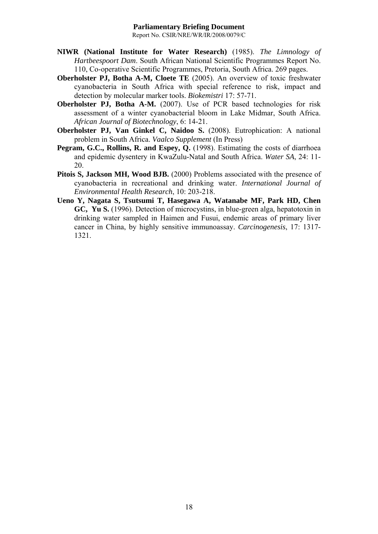- **NIWR (National Institute for Water Research)** (1985). *The Limnology of Hartbeespoort Dam*. South African National Scientific Programmes Report No. 110, Co-operative Scientific Programmes, Pretoria, South Africa. 269 pages.
- **Oberholster PJ, Botha A-M, Cloete TE** (2005). An overview of toxic freshwater cyanobacteria in South Africa with special reference to risk, impact and detection by molecular marker tools. *Biokemistri* 17: 57-71.
- **Oberholster PJ, Botha A-M.** (2007). Use of PCR based technologies for risk assessment of a winter cyanobacterial bloom in Lake Midmar, South Africa. *African Journal of Biotechnology*, 6: 14-21.
- **Oberholster PJ, Van Ginkel C, Naidoo S.** (2008). Eutrophication: A national problem in South Africa. *Vaalco Supplement* (In Press)
- **Pegram, G.C., Rollins, R. and Espey, Q.** (1998). Estimating the costs of diarrhoea and epidemic dysentery in KwaZulu-Natal and South Africa. *Water SA*, 24: 11- 20.
- **Pitois S, Jackson MH, Wood BJB.** (2000) Problems associated with the presence of cyanobacteria in recreational and drinking water. *International Journal of Environmental Health Research*, 10: 203-218.
- **Ueno Y, Nagata S, Tsutsumi T, Hasegawa A, Watanabe MF, Park HD, Chen GC, Yu S.** (1996). Detection of microcystins, in blue-green alga, hepatotoxin in drinking water sampled in Haimen and Fusui, endemic areas of primary liver cancer in China, by highly sensitive immunoassay. *Carcinogenesis*, 17: 1317- 1321.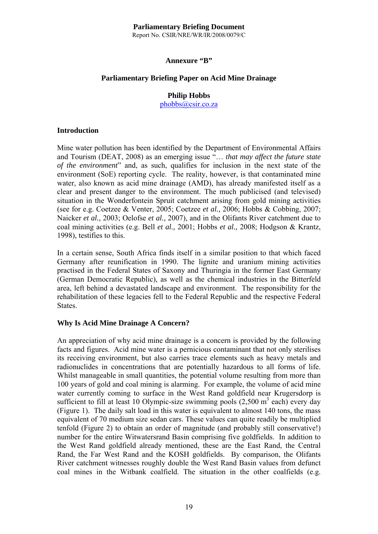Report No. CSIR/NRE/WR/IR/2008/0079/C

#### **Annexure "B"**

# **Parliamentary Briefing Paper on Acid Mine Drainage**

# **Philip Hobbs**

phobbs@csir.co.za

#### **Introduction**

Mine water pollution has been identified by the Department of Environmental Affairs and Tourism (DEAT, 2008) as an emerging issue "… *that may affect the future state of the environment*" and, as such, qualifies for inclusion in the next state of the environment (SoE) reporting cycle. The reality, however, is that contaminated mine water, also known as acid mine drainage (AMD), has already manifested itself as a clear and present danger to the environment. The much publicised (and televised) situation in the Wonderfontein Spruit catchment arising from gold mining activities (see for e.g. Coetzee & Venter, 2005; Coetzee *et al.,* 2006; Hobbs & Cobbing, 2007; Naicker *et al.,* 2003; Oelofse *et al.,* 2007), and in the Olifants River catchment due to coal mining activities (e.g. Bell *et al.,* 2001; Hobbs *et al.,* 2008; Hodgson & Krantz, 1998), testifies to this.

In a certain sense, South Africa finds itself in a similar position to that which faced Germany after reunification in 1990. The lignite and uranium mining activities practised in the Federal States of Saxony and Thuringia in the former East Germany (German Democratic Republic), as well as the chemical industries in the Bitterfeld area, left behind a devastated landscape and environment. The responsibility for the rehabilitation of these legacies fell to the Federal Republic and the respective Federal States.

#### **Why Is Acid Mine Drainage A Concern?**

An appreciation of why acid mine drainage is a concern is provided by the following facts and figures. Acid mine water is a pernicious contaminant that not only sterilises its receiving environment, but also carries trace elements such as heavy metals and radionuclides in concentrations that are potentially hazardous to all forms of life. Whilst manageable in small quantities, the potential volume resulting from more than 100 years of gold and coal mining is alarming. For example, the volume of acid mine water currently coming to surface in the West Rand goldfield near Krugersdorp is sufficient to fill at least 10 Olympic-size swimming pools  $(2,500 \text{ m}^3 \text{ each})$  every day (Figure 1). The daily salt load in this water is equivalent to almost 140 tons, the mass equivalent of 70 medium size sedan cars. These values can quite readily be multiplied tenfold (Figure 2) to obtain an order of magnitude (and probably still conservative!) number for the entire Witwatersrand Basin comprising five goldfields. In addition to the West Rand goldfield already mentioned, these are the East Rand, the Central Rand, the Far West Rand and the KOSH goldfields. By comparison, the Olifants River catchment witnesses roughly double the West Rand Basin values from defunct coal mines in the Witbank coalfield. The situation in the other coalfields (e.g.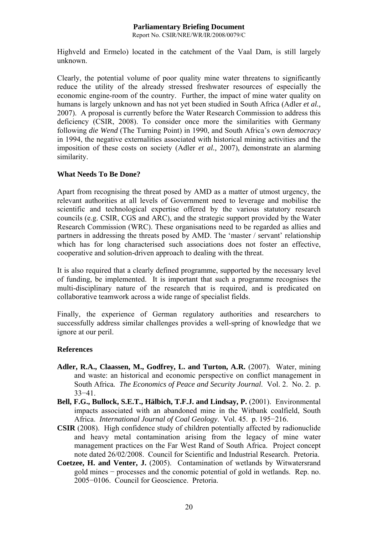Report No. CSIR/NRE/WR/IR/2008/0079/C

Highveld and Ermelo) located in the catchment of the Vaal Dam, is still largely unknown.

Clearly, the potential volume of poor quality mine water threatens to significantly reduce the utility of the already stressed freshwater resources of especially the economic engine-room of the country. Further, the impact of mine water quality on humans is largely unknown and has not yet been studied in South Africa (Adler *et al.,* 2007). A proposal is currently before the Water Research Commission to address this deficiency (CSIR, 2008). To consider once more the similarities with Germany following *die Wend* (The Turning Point) in 1990, and South Africa's own *democracy* in 1994, the negative externalities associated with historical mining activities and the imposition of these costs on society (Adler *et al.,* 2007), demonstrate an alarming similarity.

# **What Needs To Be Done?**

Apart from recognising the threat posed by AMD as a matter of utmost urgency, the relevant authorities at all levels of Government need to leverage and mobilise the scientific and technological expertise offered by the various statutory research councils (e.g. CSIR, CGS and ARC), and the strategic support provided by the Water Research Commission (WRC). These organisations need to be regarded as allies and partners in addressing the threats posed by AMD. The 'master / servant' relationship which has for long characterised such associations does not foster an effective, cooperative and solution-driven approach to dealing with the threat.

It is also required that a clearly defined programme, supported by the necessary level of funding, be implemented. It is important that such a programme recognises the multi-disciplinary nature of the research that is required, and is predicated on collaborative teamwork across a wide range of specialist fields.

Finally, the experience of German regulatory authorities and researchers to successfully address similar challenges provides a well-spring of knowledge that we ignore at our peril.

# **References**

- **Adler, R.A., Claassen, M., Godfrey, L. and Turton, A.R.** (2007). Water, mining and waste: an historical and economic perspective on conflict management in South Africa*. The Economics of Peace and Security Journal*. Vol. 2. No. 2. p. 33−41.
- **Bell, F.G., Bullock, S.E.T., Hälbich, T.F.J. and Lindsay, P.** (2001). Environmental impacts associated with an abandoned mine in the Witbank coalfield, South Africa. *International Journal of Coal Geology*. Vol. 45. p. 195−216.
- **CSIR** (2008). High confidence study of children potentially affected by radionuclide and heavy metal contamination arising from the legacy of mine water management practices on the Far West Rand of South Africa. Project concept note dated 26/02/2008. Council for Scientific and Industrial Research. Pretoria.
- **Coetzee, H. and Venter, J.** (2005). Contamination of wetlands by Witwatersrand gold mines − processes and the conomic potential of gold in wetlands. Rep. no. 2005−0106. Council for Geoscience. Pretoria.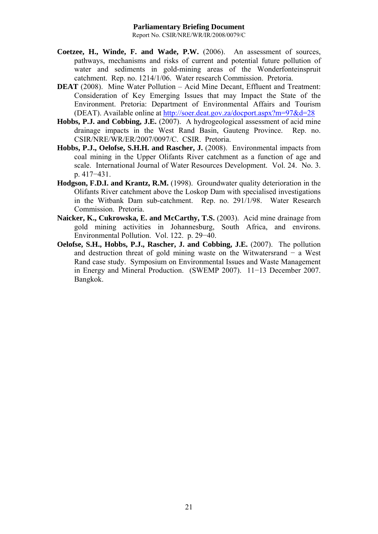- **Coetzee, H., Winde, F. and Wade, P.W.** (2006). An assessment of sources, pathways, mechanisms and risks of current and potential future pollution of water and sediments in gold-mining areas of the Wonderfonteinspruit catchment. Rep. no. 1214/1/06. Water research Commission. Pretoria.
- **DEAT** (2008). Mine Water Pollution Acid Mine Decant, Effluent and Treatment: Consideration of Key Emerging Issues that may Impact the State of the Environment. Pretoria: Department of Environmental Affairs and Tourism (DEAT). Available online at http://soer.deat.gov.za/docport.aspx?m=97&d=28
- **Hobbs, P.J. and Cobbing, J.E.** (2007). A hydrogeological assessment of acid mine drainage impacts in the West Rand Basin, Gauteng Province. Rep. no. CSIR/NRE/WR/ER/2007/0097/C. CSIR. Pretoria.
- **Hobbs, P.J., Oelofse, S.H.H. and Rascher, J.** (2008). Environmental impacts from coal mining in the Upper Olifants River catchment as a function of age and scale. International Journal of Water Resources Development. Vol. 24. No. 3. p. 417−431.
- **Hodgson, F.D.I. and Krantz, R.M.** (1998). Groundwater quality deterioration in the Olifants River catchment above the Loskop Dam with specialised investigations in the Witbank Dam sub-catchment. Rep. no. 291/1/98. Water Research Commission. Pretoria.
- **Naicker, K., Cukrowska, E. and McCarthy, T.S.** (2003). Acid mine drainage from gold mining activities in Johannesburg, South Africa, and environs. Environmental Pollution. Vol. 122. p. 29−40.
- **Oelofse, S.H., Hobbs, P.J., Rascher, J. and Cobbing, J.E.** (2007). The pollution and destruction threat of gold mining waste on the Witwatersrand − a West Rand case study. Symposium on Environmental Issues and Waste Management in Energy and Mineral Production. (SWEMP 2007). 11−13 December 2007. Bangkok.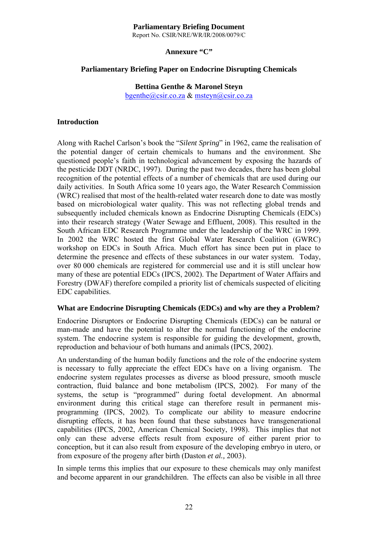Report No. CSIR/NRE/WR/IR/2008/0079/C

#### **Annexure "C"**

# **Parliamentary Briefing Paper on Endocrine Disrupting Chemicals**

#### **Bettina Genthe & Maronel Steyn**  bgenthe@csir.co.za & msteyn@csir.co.za

#### **Introduction**

Along with Rachel Carlson's book the "*Silent Spring*" in 1962, came the realisation of the potential danger of certain chemicals to humans and the environment. She questioned people's faith in technological advancement by exposing the hazards of the pesticide DDT (NRDC, 1997). During the past two decades, there has been global recognition of the potential effects of a number of chemicals that are used during our daily activities. In South Africa some 10 years ago, the Water Research Commission (WRC) realised that most of the health-related water research done to date was mostly based on microbiological water quality. This was not reflecting global trends and subsequently included chemicals known as Endocrine Disrupting Chemicals (EDCs) into their research strategy (Water Sewage and Effluent, 2008). This resulted in the South African EDC Research Programme under the leadership of the WRC in 1999. In 2002 the WRC hosted the first Global Water Research Coalition (GWRC) workshop on EDCs in South Africa. Much effort has since been put in place to determine the presence and effects of these substances in our water system. Today, over 80 000 chemicals are registered for commercial use and it is still unclear how many of these are potential EDCs (IPCS, 2002). The Department of Water Affairs and Forestry (DWAF) therefore compiled a priority list of chemicals suspected of eliciting EDC capabilities.

#### **What are Endocrine Disrupting Chemicals (EDCs) and why are they a Problem?**

Endocrine Disruptors or Endocrine Disrupting Chemicals (EDCs) can be natural or man-made and have the potential to alter the normal functioning of the endocrine system. The endocrine system is responsible for guiding the development, growth, reproduction and behaviour of both humans and animals (IPCS, 2002).

An understanding of the human bodily functions and the role of the endocrine system is necessary to fully appreciate the effect EDCs have on a living organism. The endocrine system regulates processes as diverse as blood pressure, smooth muscle contraction, fluid balance and bone metabolism (IPCS, 2002). For many of the systems, the setup is "programmed" during foetal development. An abnormal environment during this critical stage can therefore result in permanent misprogramming (IPCS, 2002). To complicate our ability to measure endocrine disrupting effects, it has been found that these substances have transgenerational capabilities (IPCS, 2002, American Chemical Society, 1998). This implies that not only can these adverse effects result from exposure of either parent prior to conception, but it can also result from exposure of the developing embryo in utero, or from exposure of the progeny after birth (Daston *et al.,* 2003).

In simple terms this implies that our exposure to these chemicals may only manifest and become apparent in our grandchildren. The effects can also be visible in all three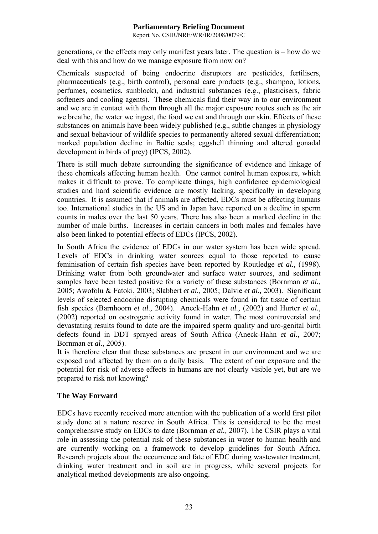Report No. CSIR/NRE/WR/IR/2008/0079/C

generations, or the effects may only manifest years later. The question is – how do we deal with this and how do we manage exposure from now on?

Chemicals suspected of being endocrine disruptors are pesticides, fertilisers, pharmaceuticals (e.g., birth control), personal care products (e.g., shampoo, lotions, perfumes, cosmetics, sunblock), and industrial substances (e.g., plasticisers, fabric softeners and cooling agents). These chemicals find their way in to our environment and we are in contact with them through all the major exposure routes such as the air we breathe, the water we ingest, the food we eat and through our skin. Effects of these substances on animals have been widely published (e.g., subtle changes in physiology and sexual behaviour of wildlife species to permanently altered sexual differentiation; marked population decline in Baltic seals; eggshell thinning and altered gonadal development in birds of prey) (IPCS, 2002).

There is still much debate surrounding the significance of evidence and linkage of these chemicals affecting human health. One cannot control human exposure, which makes it difficult to prove. To complicate things, high confidence epidemiological studies and hard scientific evidence are mostly lacking, specifically in developing countries. It is assumed that if animals are affected, EDCs must be affecting humans too. International studies in the US and in Japan have reported on a decline in sperm counts in males over the last 50 years. There has also been a marked decline in the number of male births. Increases in certain cancers in both males and females have also been linked to potential effects of EDCs (IPCS, 2002).

In South Africa the evidence of EDCs in our water system has been wide spread. Levels of EDCs in drinking water sources equal to those reported to cause feminisation of certain fish species have been reported by Routledge *et al.,* (1998). Drinking water from both groundwater and surface water sources, and sediment samples have been tested positive for a variety of these substances (Bornman *et al.,* 2005; Awofolu & Fatoki, 2003; Slabbert *et al.,* 2005; Dalvie *et al.,* 2003). Significant levels of selected endocrine disrupting chemicals were found in fat tissue of certain fish species (Barnhoorn *et al.,* 2004). Aneck-Hahn *et al.,* (2002) and Hurter *et al.,* (2002) reported on oestrogenic activity found in water. The most controversial and devastating results found to date are the impaired sperm quality and uro-genital birth defects found in DDT sprayed areas of South Africa (Aneck-Hahn *et al.,* 2007; Bornman *et al.,* 2005).

It is therefore clear that these substances are present in our environment and we are exposed and affected by them on a daily basis. The extent of our exposure and the potential for risk of adverse effects in humans are not clearly visible yet, but are we prepared to risk not knowing?

# **The Way Forward**

EDCs have recently received more attention with the publication of a world first pilot study done at a nature reserve in South Africa. This is considered to be the most comprehensive study on EDCs to date (Bornman *et al.,* 2007). The CSIR plays a vital role in assessing the potential risk of these substances in water to human health and are currently working on a framework to develop guidelines for South Africa. Research projects about the occurrence and fate of EDC during wastewater treatment, drinking water treatment and in soil are in progress, while several projects for analytical method developments are also ongoing.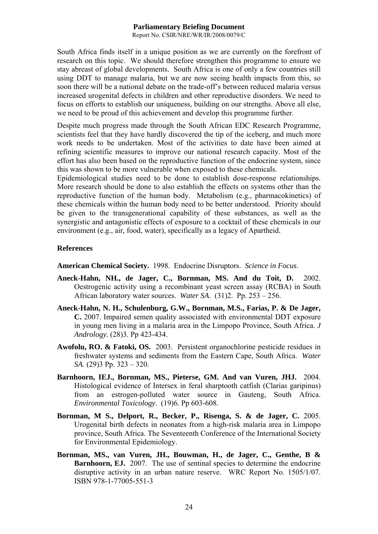Report No. CSIR/NRE/WR/IR/2008/0079/C

South Africa finds itself in a unique position as we are currently on the forefront of research on this topic. We should therefore strengthen this programme to ensure we stay abreast of global developments. South Africa is one of only a few countries still using DDT to manage malaria, but we are now seeing health impacts from this, so soon there will be a national debate on the trade-off's between reduced malaria versus increased urogenital defects in children and other reproductive disorders. We need to focus on efforts to establish our uniqueness, building on our strengths. Above all else, we need to be proud of this achievement and develop this programme further.

Despite much progress made through the South African EDC Research Programme, scientists feel that they have hardly discovered the tip of the iceberg, and much more work needs to be undertaken. Most of the activities to date have been aimed at refining scientific measures to improve our national research capacity. Most of the effort has also been based on the reproductive function of the endocrine system, since this was shown to be more vulnerable when exposed to these chemicals.

Epidemiological studies need to be done to establish dose-response relationships. More research should be done to also establish the effects on systems other than the reproductive function of the human body. Metabolism (e.g., pharmacokinetics) of these chemicals within the human body need to be better understood. Priority should be given to the transgenerational capability of these substances, as well as the synergistic and antagonistic effects of exposure to a cocktail of these chemicals in our environment (e.g., air, food, water), specifically as a legacy of Apartheid.

#### **References**

**American Chemical Society.** 1998. Endocrine Disruptors. *Science in Focus*.

- **Aneck-Hahn, NH., de Jager, C., Bornman, MS. And du Toit, D.** 2002. Oestrogenic activity using a recombinant yeast screen assay (RCBA) in South African laboratory water sources. *Water SA*. (31)2. Pp. 253 – 256.
- **Aneck-Hahn, N. H., Schulenburg, G.W., Bornman, M.S., Farias, P. & De Jager, C.** 2007. Impaired semen quality associated with environmental DDT exposure in young men living in a malaria area in the Limpopo Province, South Africa. *J Andrology.* (28)3. Pp 423-434.
- **Awofolu, RO. & Fatoki, OS.** 2003. Persistent organochlorine pesticide residues in freshwater systems and sediments from the Eastern Cape, South Africa. *Water SA.* (29)3 Pp. 323 – 320.
- **Barnhoorn, IEJ., Bornman, MS., Pieterse, GM. And van Vuren, JHJ.** 2004. Histological evidence of Intersex in feral sharptooth catfish (Clarias garipinus) from an estrogen-polluted water source in Gauteng, South Africa. *Environmental Toxicology*. (19)6. Pp 603-608.
- **Bornman, M S., Delport, R., Becker, P., Risenga, S. & de Jager, C.** 2005. Urogenital birth defects in neonates from a high-risk malaria area in Limpopo province, South Africa. The Seventeenth Conference of the International Society for Environmental Epidemiology.
- **Bornman, MS., van Vuren, JH., Bouwman, H., de Jager, C., Genthe, B & Barnhoorn, EJ.** 2007. The use of sentinal species to determine the endocrine disruptive activity in an urban nature reserve. WRC Report No. 1505/1/07. ISBN 978-1-77005-551-3